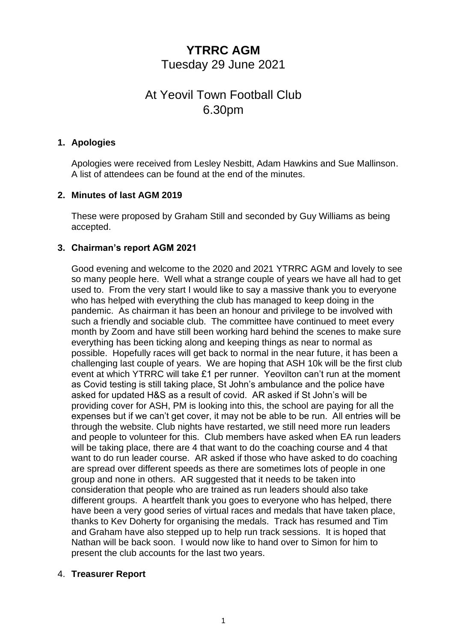## **YTRRC AGM** Tuesday 29 June 2021

# At Yeovil Town Football Club 6.30pm

#### **1. Apologies**

Apologies were received from Lesley Nesbitt, Adam Hawkins and Sue Mallinson. A list of attendees can be found at the end of the minutes.

### **2. Minutes of last AGM 2019**

These were proposed by Graham Still and seconded by Guy Williams as being accepted.

### **3. Chairman's report AGM 2021**

Good evening and welcome to the 2020 and 2021 YTRRC AGM and lovely to see so many people here. Well what a strange couple of years we have all had to get used to. From the very start I would like to say a massive thank you to everyone who has helped with everything the club has managed to keep doing in the pandemic. As chairman it has been an honour and privilege to be involved with such a friendly and sociable club. The committee have continued to meet every month by Zoom and have still been working hard behind the scenes to make sure everything has been ticking along and keeping things as near to normal as possible. Hopefully races will get back to normal in the near future, it has been a challenging last couple of years. We are hoping that ASH 10k will be the first club event at which YTRRC will take £1 per runner. Yeovilton can't run at the moment as Covid testing is still taking place, St John's ambulance and the police have asked for updated H&S as a result of covid. AR asked if St John's will be providing cover for ASH, PM is looking into this, the school are paying for all the expenses but if we can't get cover, it may not be able to be run. All entries will be through the website. Club nights have restarted, we still need more run leaders and people to volunteer for this. Club members have asked when EA run leaders will be taking place, there are 4 that want to do the coaching course and 4 that want to do run leader course. AR asked if those who have asked to do coaching are spread over different speeds as there are sometimes lots of people in one group and none in others. AR suggested that it needs to be taken into consideration that people who are trained as run leaders should also take different groups. A heartfelt thank you goes to everyone who has helped, there have been a very good series of virtual races and medals that have taken place, thanks to Kev Doherty for organising the medals. Track has resumed and Tim and Graham have also stepped up to help run track sessions. It is hoped that Nathan will be back soon. I would now like to hand over to Simon for him to present the club accounts for the last two years.

#### 4. **Treasurer Report**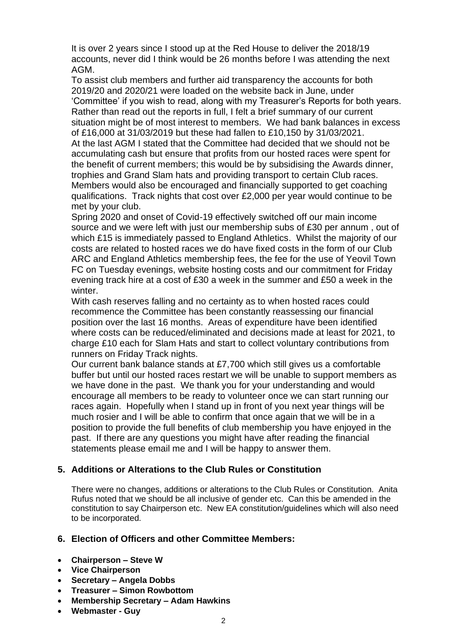It is over 2 years since I stood up at the Red House to deliver the 2018/19 accounts, never did I think would be 26 months before I was attending the next AGM.

To assist club members and further aid transparency the accounts for both 2019/20 and 2020/21 were loaded on the website back in June, under 'Committee' if you wish to read, along with my Treasurer's Reports for both years. Rather than read out the reports in full, I felt a brief summary of our current situation might be of most interest to members. We had bank balances in excess of £16,000 at 31/03/2019 but these had fallen to £10,150 by 31/03/2021. At the last AGM I stated that the Committee had decided that we should not be accumulating cash but ensure that profits from our hosted races were spent for the benefit of current members; this would be by subsidising the Awards dinner, trophies and Grand Slam hats and providing transport to certain Club races. Members would also be encouraged and financially supported to get coaching qualifications. Track nights that cost over £2,000 per year would continue to be met by your club.

Spring 2020 and onset of Covid-19 effectively switched off our main income source and we were left with just our membership subs of £30 per annum , out of which £15 is immediately passed to England Athletics. Whilst the majority of our costs are related to hosted races we do have fixed costs in the form of our Club ARC and England Athletics membership fees, the fee for the use of Yeovil Town FC on Tuesday evenings, website hosting costs and our commitment for Friday evening track hire at a cost of £30 a week in the summer and £50 a week in the winter.

With cash reserves falling and no certainty as to when hosted races could recommence the Committee has been constantly reassessing our financial position over the last 16 months. Areas of expenditure have been identified where costs can be reduced/eliminated and decisions made at least for 2021, to charge £10 each for Slam Hats and start to collect voluntary contributions from runners on Friday Track nights.

Our current bank balance stands at £7,700 which still gives us a comfortable buffer but until our hosted races restart we will be unable to support members as we have done in the past. We thank you for your understanding and would encourage all members to be ready to volunteer once we can start running our races again. Hopefully when I stand up in front of you next year things will be much rosier and I will be able to confirm that once again that we will be in a position to provide the full benefits of club membership you have enjoyed in the past. If there are any questions you might have after reading the financial statements please email me and I will be happy to answer them.

#### **5. Additions or Alterations to the Club Rules or Constitution**

There were no changes, additions or alterations to the Club Rules or Constitution. Anita Rufus noted that we should be all inclusive of gender etc. Can this be amended in the constitution to say Chairperson etc. New EA constitution/guidelines which will also need to be incorporated.

#### **6. Election of Officers and other Committee Members:**

- **Chairperson – Steve W**
- **Vice Chairperson**
- **Secretary – Angela Dobbs**
- **Treasurer – Simon Rowbottom**
- **Membership Secretary – Adam Hawkins**
- **Webmaster - Guy**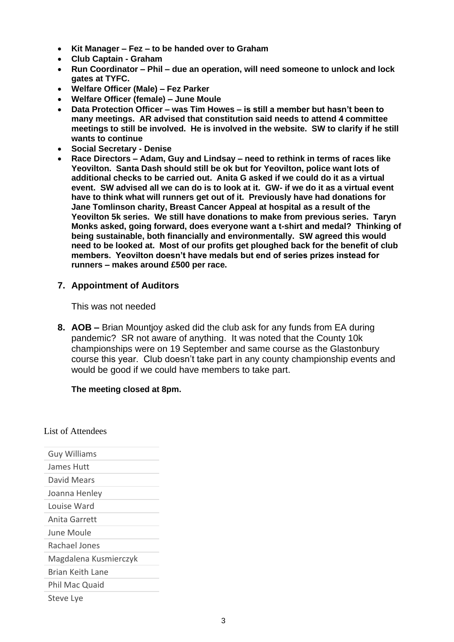- **Kit Manager – Fez – to be handed over to Graham**
- **Club Captain - Graham**
- **Run Coordinator – Phil – due an operation, will need someone to unlock and lock gates at TYFC.**
- **Welfare Officer (Male) – Fez Parker**
- **Welfare Officer (female) – June Moule**
- **Data Protection Officer – was Tim Howes – is still a member but hasn't been to many meetings. AR advised that constitution said needs to attend 4 committee meetings to still be involved. He is involved in the website. SW to clarify if he still wants to continue**
- **Social Secretary - Denise**
- **Race Directors – Adam, Guy and Lindsay – need to rethink in terms of races like Yeovilton. Santa Dash should still be ok but for Yeovilton, police want lots of additional checks to be carried out. Anita G asked if we could do it as a virtual event. SW advised all we can do is to look at it. GW- if we do it as a virtual event have to think what will runners get out of it. Previously have had donations for Jane Tomlinson charity, Breast Cancer Appeal at hospital as a result of the Yeovilton 5k series. We still have donations to make from previous series. Taryn Monks asked, going forward, does everyone want a t-shirt and medal? Thinking of being sustainable, both financially and environmentally. SW agreed this would need to be looked at. Most of our profits get ploughed back for the benefit of club members. Yeovilton doesn't have medals but end of series prizes instead for runners – makes around £500 per race.**

#### **7. Appointment of Auditors**

This was not needed

**8. AOB –** Brian Mountjoy asked did the club ask for any funds from EA during pandemic? SR not aware of anything. It was noted that the County 10k championships were on 19 September and same course as the Glastonbury course this year. Club doesn't take part in any county championship events and would be good if we could have members to take part.

#### **The meeting closed at 8pm.**

List of Attendees

| <b>Guy Williams</b>   |
|-----------------------|
| James Hutt            |
| David Mears           |
| Joanna Henley         |
| Louise Ward           |
| Anita Garrett         |
| June Moule            |
| Rachael Jones         |
| Magdalena Kusmierczyk |
| Brian Keith Lane      |
| Phil Mac Quaid        |
| Steve Lye             |